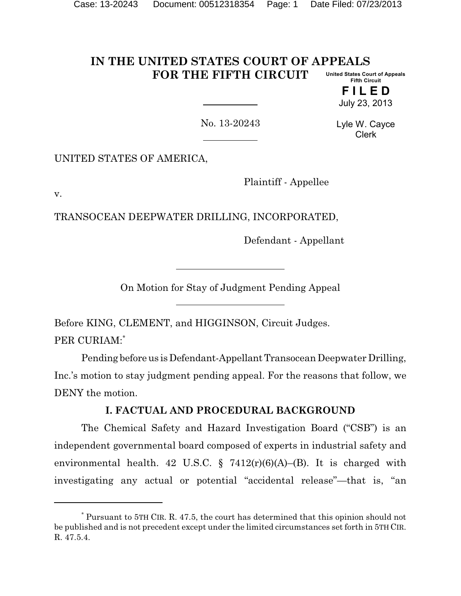#### **IN THE UNITED STATES COURT OF APPEALS FOR THE FIFTH CIRCUIT United States Court of Appeals Fifth Circuit**

**F I L E D** July 23, 2013

No. 13-20243

Lyle W. Cayce Clerk

UNITED STATES OF AMERICA,

Plaintiff - Appellee

v.

TRANSOCEAN DEEPWATER DRILLING, INCORPORATED,

Defendant - Appellant

On Motion for Stay of Judgment Pending Appeal

Before KING, CLEMENT, and HIGGINSON, Circuit Judges. PER CURIAM:\*

Pending before us is Defendant-Appellant Transocean Deepwater Drilling, Inc.'s motion to stay judgment pending appeal. For the reasons that follow, we DENY the motion.

# **I. FACTUAL AND PROCEDURAL BACKGROUND**

The Chemical Safety and Hazard Investigation Board ("CSB") is an independent governmental board composed of experts in industrial safety and environmental health. 42 U.S.C.  $\S$  7412(r)(6)(A)–(B). It is charged with investigating any actual or potential "accidental release"—that is, "an

<sup>\*</sup> Pursuant to 5TH CIR. R. 47.5, the court has determined that this opinion should not be published and is not precedent except under the limited circumstances set forth in 5TH CIR. R. 47.5.4.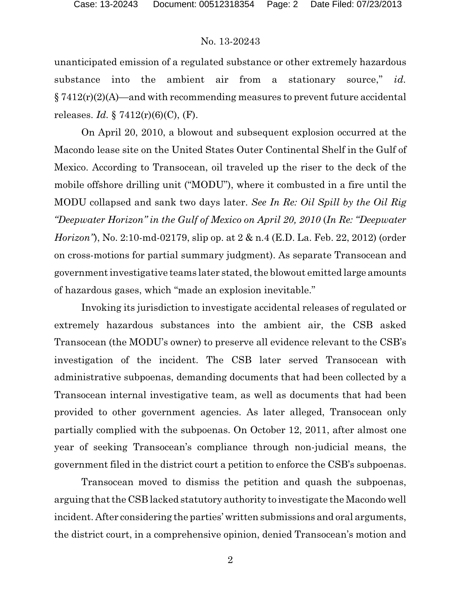unanticipated emission of a regulated substance or other extremely hazardous substance into the ambient air from a stationary source," *id.*  $§ 7412(r)(2)(A)$ —and with recommending measures to prevent future accidental releases. *Id.* § 7412(r)(6)(C), (F).

On April 20, 2010, a blowout and subsequent explosion occurred at the Macondo lease site on the United States Outer Continental Shelf in the Gulf of Mexico. According to Transocean, oil traveled up the riser to the deck of the mobile offshore drilling unit ("MODU"), where it combusted in a fire until the MODU collapsed and sank two days later. *See In Re: Oil Spill by the Oil Rig "Deepwater Horizon" in the Gulf of Mexico on April 20, 2010* (*In Re: "Deepwater Horizon"*), No. 2:10-md-02179, slip op. at 2 & n.4 (E.D. La. Feb. 22, 2012) (order on cross-motions for partial summary judgment). As separate Transocean and government investigative teams later stated, the blowout emitted large amounts of hazardous gases, which "made an explosion inevitable."

Invoking its jurisdiction to investigate accidental releases of regulated or extremely hazardous substances into the ambient air, the CSB asked Transocean (the MODU's owner) to preserve all evidence relevant to the CSB's investigation of the incident. The CSB later served Transocean with administrative subpoenas, demanding documents that had been collected by a Transocean internal investigative team, as well as documents that had been provided to other government agencies. As later alleged, Transocean only partially complied with the subpoenas. On October 12, 2011, after almost one year of seeking Transocean's compliance through non-judicial means, the government filed in the district court a petition to enforce the CSB's subpoenas.

Transocean moved to dismiss the petition and quash the subpoenas, arguing that the CSB lacked statutory authority to investigate the Macondo well incident. After considering the parties' written submissions and oral arguments, the district court, in a comprehensive opinion, denied Transocean's motion and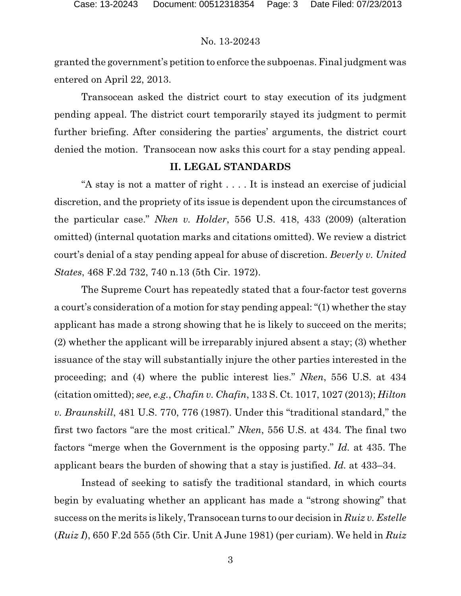granted the government's petition to enforce the subpoenas. Final judgment was entered on April 22, 2013.

Transocean asked the district court to stay execution of its judgment pending appeal. The district court temporarily stayed its judgment to permit further briefing. After considering the parties' arguments, the district court denied the motion. Transocean now asks this court for a stay pending appeal.

#### **II. LEGAL STANDARDS**

"A stay is not a matter of right . . . . It is instead an exercise of judicial discretion, and the propriety of its issue is dependent upon the circumstances of the particular case." *Nken v. Holder*, 556 U.S. 418, 433 (2009) (alteration omitted) (internal quotation marks and citations omitted). We review a district court's denial of a stay pending appeal for abuse of discretion. *Beverly v. United States*, 468 F.2d 732, 740 n.13 (5th Cir. 1972).

The Supreme Court has repeatedly stated that a four-factor test governs a court's consideration of a motion for stay pending appeal: "(1) whether the stay applicant has made a strong showing that he is likely to succeed on the merits; (2) whether the applicant will be irreparably injured absent a stay; (3) whether issuance of the stay will substantially injure the other parties interested in the proceeding; and (4) where the public interest lies." *Nken*, 556 U.S. at 434 (citation omitted); *see, e.g.*, *Chafin v. Chafin*, 133 S. Ct. 1017, 1027 (2013); *Hilton v. Braunskill*, 481 U.S. 770, 776 (1987). Under this "traditional standard," the first two factors "are the most critical." *Nken*, 556 U.S. at 434*.* The final two factors "merge when the Government is the opposing party." *Id.* at 435. The applicant bears the burden of showing that a stay is justified. *Id.* at 433–34.

Instead of seeking to satisfy the traditional standard, in which courts begin by evaluating whether an applicant has made a "strong showing" that success on the merits is likely, Transocean turns to our decision in *Ruiz v. Estelle* (*Ruiz I*), 650 F.2d 555 (5th Cir. Unit A June 1981) (per curiam). We held in *Ruiz*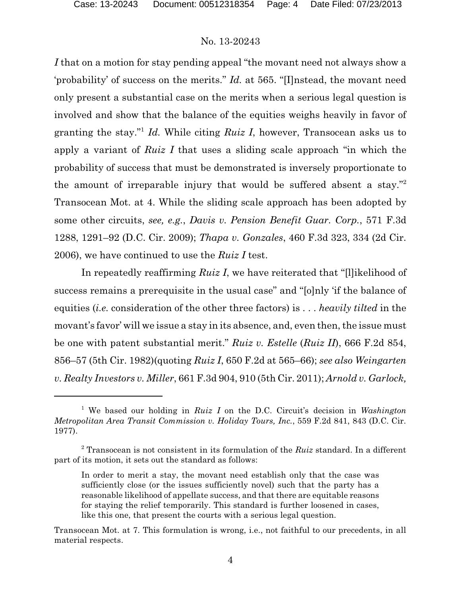*I* that on a motion for stay pending appeal "the movant need not always show a 'probability' of success on the merits." *Id.* at 565. "[I]nstead, the movant need only present a substantial case on the merits when a serious legal question is involved and show that the balance of the equities weighs heavily in favor of granting the stay."<sup>1</sup> *Id.* While citing *Ruiz I*, however, Transocean asks us to apply a variant of *Ruiz I* that uses a sliding scale approach "in which the probability of success that must be demonstrated is inversely proportionate to the amount of irreparable injury that would be suffered absent a stay."<sup>2</sup> Transocean Mot. at 4. While the sliding scale approach has been adopted by some other circuits, *see, e.g.*, *Davis v. Pension Benefit Guar. Corp.*, 571 F.3d 1288, 1291–92 (D.C. Cir. 2009); *Thapa v. Gonzales*, 460 F.3d 323, 334 (2d Cir. 2006), we have continued to use the *Ruiz I* test.

In repeatedly reaffirming *Ruiz I*, we have reiterated that "[l]ikelihood of success remains a prerequisite in the usual case" and "[o]nly 'if the balance of equities (*i.e.* consideration of the other three factors) is . . . *heavily tilted* in the movant's favor' will we issue a stay in its absence, and, even then, the issue must be one with patent substantial merit." *Ruiz v. Estelle* (*Ruiz II*), 666 F.2d 854, 856–57 (5th Cir. 1982)(quoting *Ruiz I*, 650 F.2d at 565–66); *see also Weingarten v. Realty Investors v. Miller*, 661 F.3d 904, 910 (5th Cir. 2011); *Arnold v. Garlock,*

<sup>1</sup> We based our holding in *Ruiz I* on the D.C. Circuit's decision in *Washington Metropolitan Area Transit Commission v. Holiday Tours, Inc.*, 559 F.2d 841, 843 (D.C. Cir. 1977).

<sup>2</sup> Transocean is not consistent in its formulation of the *Ruiz* standard. In a different part of its motion, it sets out the standard as follows:

In order to merit a stay, the movant need establish only that the case was sufficiently close (or the issues sufficiently novel) such that the party has a reasonable likelihood of appellate success, and that there are equitable reasons for staying the relief temporarily. This standard is further loosened in cases, like this one, that present the courts with a serious legal question.

Transocean Mot. at 7. This formulation is wrong, i.e., not faithful to our precedents, in all material respects.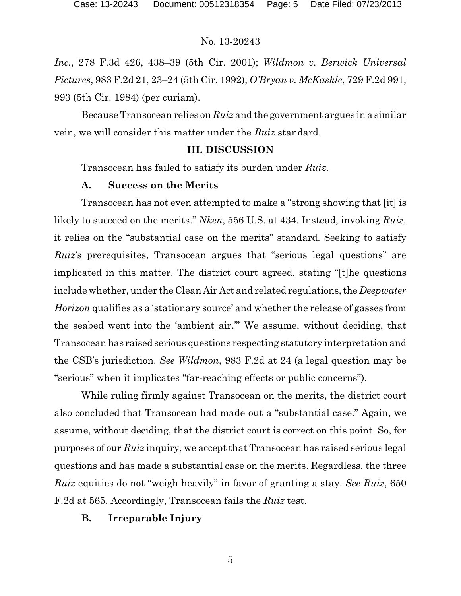*Inc.*, 278 F.3d 426, 438–39 (5th Cir. 2001); *Wildmon v. Berwick Universal Pictures*, 983 F.2d 21, 23–24 (5th Cir. 1992); *O'Bryan v. McKaskle*, 729 F.2d 991, 993 (5th Cir. 1984) (per curiam).

Because Transocean relies on *Ruiz* and the government argues in a similar vein, we will consider this matter under the *Ruiz* standard.

# **III. DISCUSSION**

Transocean has failed to satisfy its burden under *Ruiz*.

# **A. Success on the Merits**

Transocean has not even attempted to make a "strong showing that [it] is likely to succeed on the merits." *Nken*, 556 U.S. at 434. Instead, invoking *Ruiz,* it relies on the "substantial case on the merits" standard. Seeking to satisfy *Ruiz*'s prerequisites, Transocean argues that "serious legal questions" are implicated in this matter. The district court agreed, stating "[t]he questions include whether, under the Clean Air Act and related regulations, the *Deepwater Horizon* qualifies as a 'stationary source' and whether the release of gasses from the seabed went into the 'ambient air.'" We assume, without deciding, that Transocean has raised serious questions respecting statutory interpretation and the CSB's jurisdiction. *See Wildmon*, 983 F.2d at 24 (a legal question may be "serious" when it implicates "far-reaching effects or public concerns").

While ruling firmly against Transocean on the merits, the district court also concluded that Transocean had made out a "substantial case." Again, we assume, without deciding, that the district court is correct on this point. So, for purposes of our *Ruiz* inquiry, we accept that Transocean has raised serious legal questions and has made a substantial case on the merits. Regardless, the three *Ruiz* equities do not "weigh heavily" in favor of granting a stay. *See Ruiz*, 650 F.2d at 565. Accordingly, Transocean fails the *Ruiz* test.

# **B. Irreparable Injury**

5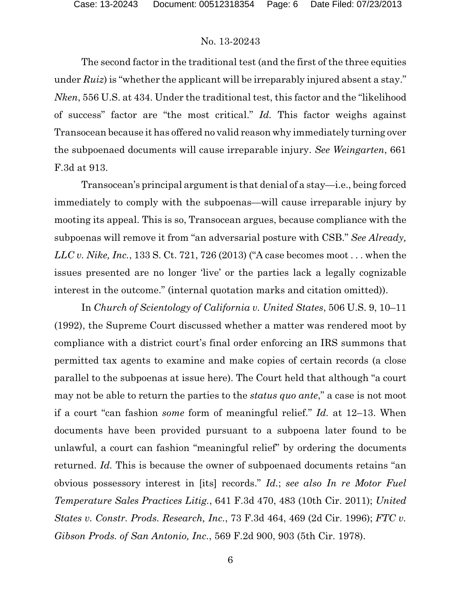The second factor in the traditional test (and the first of the three equities under *Ruiz*) is "whether the applicant will be irreparably injured absent a stay." *Nken*, 556 U.S. at 434. Under the traditional test, this factor and the "likelihood of success" factor are "the most critical." *Id.* This factor weighs against Transocean because it has offered no valid reason why immediately turning over the subpoenaed documents will cause irreparable injury. *See Weingarten*, 661 F.3d at 913.

Transocean's principal argument is that denial of a stay—i.e., being forced immediately to comply with the subpoenas—will cause irreparable injury by mooting its appeal. This is so, Transocean argues, because compliance with the subpoenas will remove it from "an adversarial posture with CSB." *See Already, LLC v. Nike, Inc.*, 133 S. Ct. 721, 726 (2013) ("A case becomes moot . . . when the issues presented are no longer 'live' or the parties lack a legally cognizable interest in the outcome." (internal quotation marks and citation omitted)).

In *Church of Scientology of California v. United States*, 506 U.S. 9, 10–11 (1992), the Supreme Court discussed whether a matter was rendered moot by compliance with a district court's final order enforcing an IRS summons that permitted tax agents to examine and make copies of certain records (a close parallel to the subpoenas at issue here). The Court held that although "a court may not be able to return the parties to the *status quo ante*," a case is not moot if a court "can fashion *some* form of meaningful relief." *Id.* at 12–13. When documents have been provided pursuant to a subpoena later found to be unlawful, a court can fashion "meaningful relief" by ordering the documents returned. *Id.* This is because the owner of subpoenaed documents retains "an obvious possessory interest in [its] records." *Id.*; *see also In re Motor Fuel Temperature Sales Practices Litig.*, 641 F.3d 470, 483 (10th Cir. 2011); *United States v. Constr. Prods. Research, Inc.*, 73 F.3d 464, 469 (2d Cir. 1996); *FTC v. Gibson Prods. of San Antonio, Inc.*, 569 F.2d 900, 903 (5th Cir. 1978).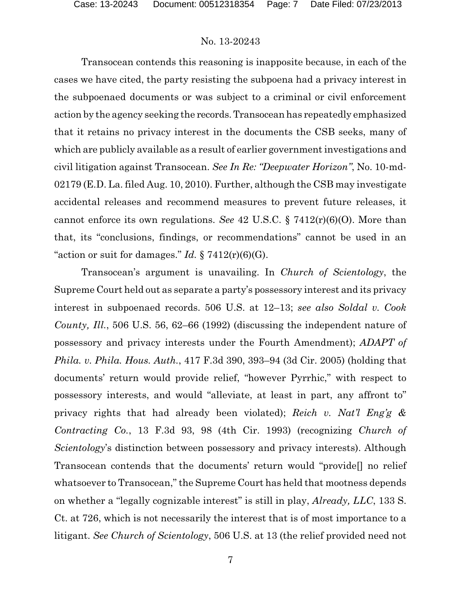Transocean contends this reasoning is inapposite because, in each of the cases we have cited, the party resisting the subpoena had a privacy interest in the subpoenaed documents or was subject to a criminal or civil enforcement action by the agency seeking the records.Transocean has repeatedly emphasized that it retains no privacy interest in the documents the CSB seeks, many of which are publicly available as a result of earlier government investigations and civil litigation against Transocean. *See In Re: "Deepwater Horizon"*, No. 10-md-02179 (E.D. La. filed Aug. 10, 2010). Further, although the CSB may investigate accidental releases and recommend measures to prevent future releases, it cannot enforce its own regulations. *See* 42 U.S.C. § 7412(r)(6)(O). More than that, its "conclusions, findings, or recommendations" cannot be used in an "action or suit for damages." *Id.*  $\S 7412(r)(6)(G)$ .

Transocean's argument is unavailing. In *Church of Scientology*, the Supreme Court held out as separate a party's possessory interest and its privacy interest in subpoenaed records. 506 U.S. at 12–13; *see also Soldal v. Cook County, Ill.*, 506 U.S. 56, 62–66 (1992) (discussing the independent nature of possessory and privacy interests under the Fourth Amendment); *ADAPT of Phila. v. Phila. Hous. Auth.*, 417 F.3d 390, 393–94 (3d Cir. 2005) (holding that documents' return would provide relief, "however Pyrrhic," with respect to possessory interests, and would "alleviate, at least in part, any affront to" privacy rights that had already been violated); *Reich v. Nat'l Eng'g & Contracting Co.*, 13 F.3d 93, 98 (4th Cir. 1993) (recognizing *Church of Scientology*'s distinction between possessory and privacy interests). Although Transocean contends that the documents' return would "provide[] no relief whatsoever to Transocean," the Supreme Court has held that mootness depends on whether a "legally cognizable interest" is still in play, *Already, LLC*, 133 S. Ct. at 726, which is not necessarily the interest that is of most importance to a litigant. *See Church of Scientology*, 506 U.S. at 13 (the relief provided need not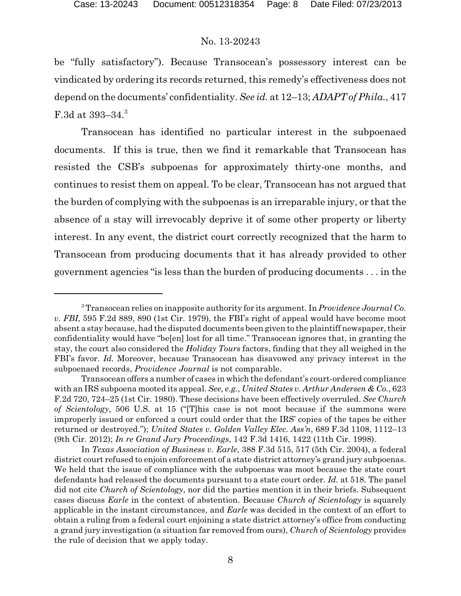be "fully satisfactory"). Because Transocean's possessory interest can be vindicated by ordering its records returned, this remedy's effectiveness does not depend on the documents' confidentiality. *See id.* at 12–13; *ADAPT of Phila.*, 417 F.3d at 393–34.<sup>3</sup>

Transocean has identified no particular interest in the subpoenaed documents. If this is true, then we find it remarkable that Transocean has resisted the CSB's subpoenas for approximately thirty-one months, and continues to resist them on appeal. To be clear, Transocean has not argued that the burden of complying with the subpoenas is an irreparable injury, or that the absence of a stay will irrevocably deprive it of some other property or liberty interest. In any event, the district court correctly recognized that the harm to Transocean from producing documents that it has already provided to other government agencies "is less than the burden of producing documents . . . in the

<sup>3</sup> Transocean relies on inapposite authority for its argument. In *Providence Journal Co. v. FBI*, 595 F.2d 889, 890 (1st Cir. 1979), the FBI's right of appeal would have become moot absent a stay because, had the disputed documents been given to the plaintiff newspaper, their confidentiality would have "be[en] lost for all time." Transocean ignores that, in granting the stay, the court also considered the *Holiday Tours* factors, finding that they all weighed in the FBI's favor. *Id.* Moreover, because Transocean has disavowed any privacy interest in the subpoenaed records, *Providence Journal* is not comparable.

Transocean offers a number of cases in which the defendant's court-ordered compliance with an IRS subpoena mooted its appeal. *See, e.g.*, *United States v. Arthur Andersen & Co.*, 623 F.2d 720, 724–25 (1st Cir. 1980). These decisions have been effectively overruled. *See Church of Scientology*, 506 U.S. at 15 ("[T]his case is not moot because if the summons were improperly issued or enforced a court could order that the IRS' copies of the tapes be either returned or destroyed."); *United States v. Golden Valley Elec. Ass'n*, 689 F.3d 1108, 1112–13 (9th Cir. 2012); *In re Grand Jury Proceedings*, 142 F.3d 1416, 1422 (11th Cir. 1998).

In *Texas Association of Business v. Earle*, 388 F.3d 515, 517 (5th Cir. 2004), a federal district court refused to enjoin enforcement of a state district attorney's grand jury subpoenas. We held that the issue of compliance with the subpoenas was moot because the state court defendants had released the documents pursuant to a state court order. *Id.* at 518. The panel did not cite *Church of Scientology*, nor did the parties mention it in their briefs. Subsequent cases discuss *Earle* in the context of abstention. Because *Church of Scientology* is squarely applicable in the instant circumstances, and *Earle* was decided in the context of an effort to obtain a ruling from a federal court enjoining a state district attorney's office from conducting a grand jury investigation (a situation far removed from ours), *Church of Scientology* provides the rule of decision that we apply today.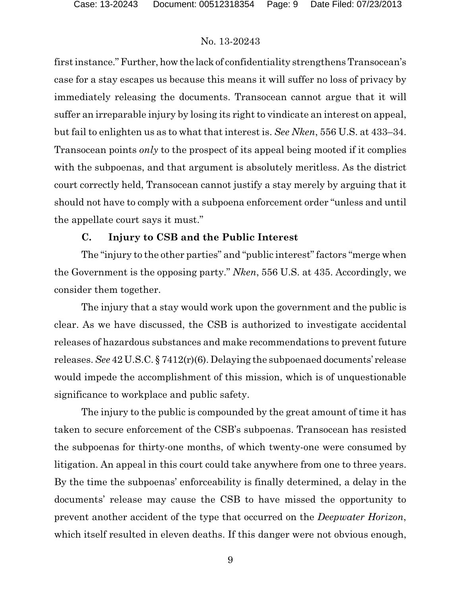first instance."Further, how the lack of confidentiality strengthens Transocean's case for a stay escapes us because this means it will suffer no loss of privacy by immediately releasing the documents. Transocean cannot argue that it will suffer an irreparable injury by losing its right to vindicate an interest on appeal, but fail to enlighten us as to what that interest is. *See Nken*, 556 U.S. at 433–34. Transocean points *only* to the prospect of its appeal being mooted if it complies with the subpoenas, and that argument is absolutely meritless. As the district court correctly held, Transocean cannot justify a stay merely by arguing that it should not have to comply with a subpoena enforcement order "unless and until the appellate court says it must."

# **C. Injury to CSB and the Public Interest**

The "injury to the other parties" and "public interest" factors "merge when the Government is the opposing party." *Nken*, 556 U.S. at 435. Accordingly, we consider them together.

The injury that a stay would work upon the government and the public is clear. As we have discussed, the CSB is authorized to investigate accidental releases of hazardous substances and make recommendations to prevent future releases. *See* 42 U.S.C. § 7412(r)(6). Delaying the subpoenaed documents' release would impede the accomplishment of this mission, which is of unquestionable significance to workplace and public safety.

The injury to the public is compounded by the great amount of time it has taken to secure enforcement of the CSB's subpoenas. Transocean has resisted the subpoenas for thirty-one months, of which twenty-one were consumed by litigation. An appeal in this court could take anywhere from one to three years. By the time the subpoenas' enforceability is finally determined, a delay in the documents' release may cause the CSB to have missed the opportunity to prevent another accident of the type that occurred on the *Deepwater Horizon*, which itself resulted in eleven deaths. If this danger were not obvious enough,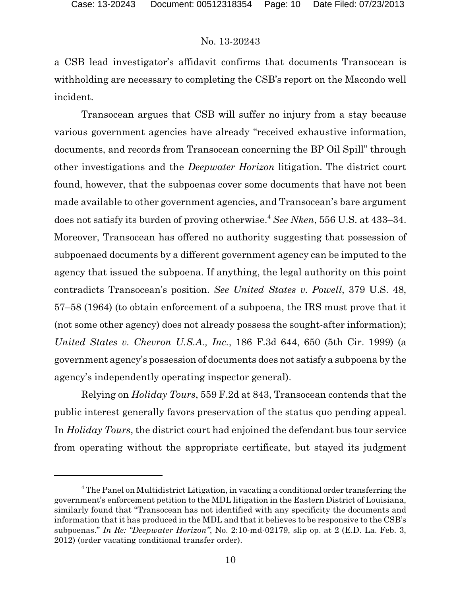a CSB lead investigator's affidavit confirms that documents Transocean is withholding are necessary to completing the CSB's report on the Macondo well incident.

Transocean argues that CSB will suffer no injury from a stay because various government agencies have already "received exhaustive information, documents, and records from Transocean concerning the BP Oil Spill" through other investigations and the *Deepwater Horizon* litigation. The district court found, however, that the subpoenas cover some documents that have not been made available to other government agencies, and Transocean's bare argument does not satisfy its burden of proving otherwise.<sup>4</sup> *See Nken*, 556 U.S. at 433–34. Moreover, Transocean has offered no authority suggesting that possession of subpoenaed documents by a different government agency can be imputed to the agency that issued the subpoena. If anything, the legal authority on this point contradicts Transocean's position. *See United States v. Powell*, 379 U.S. 48, 57–58 (1964) (to obtain enforcement of a subpoena, the IRS must prove that it (not some other agency) does not already possess the sought-after information); *United States v. Chevron U.S.A., Inc.*, 186 F.3d 644, 650 (5th Cir. 1999) (a government agency's possession of documents does not satisfy a subpoena by the agency's independently operating inspector general).

Relying on *Holiday Tours*, 559 F.2d at 843, Transocean contends that the public interest generally favors preservation of the status quo pending appeal. In *Holiday Tours*, the district court had enjoined the defendant bus tour service from operating without the appropriate certificate, but stayed its judgment

<sup>4</sup> The Panel on Multidistrict Litigation, in vacating a conditional order transferring the government's enforcement petition to the MDL litigation in the Eastern District of Louisiana, similarly found that "Transocean has not identified with any specificity the documents and information that it has produced in the MDL and that it believes to be responsive to the CSB's subpoenas." *In Re: "Deepwater Horizon"*, No. 2:10-md-02179, slip op. at 2 (E.D. La. Feb. 3, 2012) (order vacating conditional transfer order).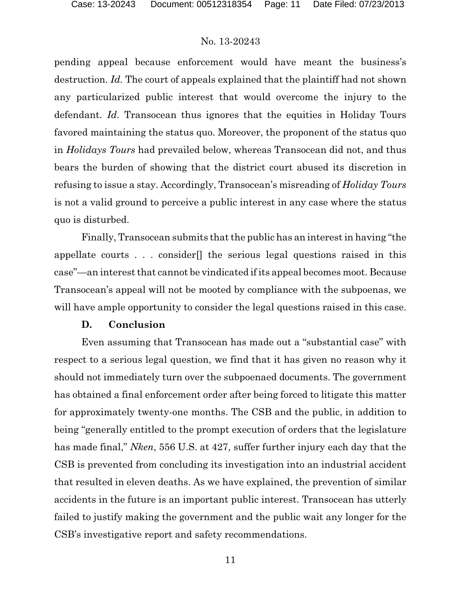pending appeal because enforcement would have meant the business's destruction. *Id.* The court of appeals explained that the plaintiff had not shown any particularized public interest that would overcome the injury to the defendant. *Id.* Transocean thus ignores that the equities in Holiday Tours favored maintaining the status quo. Moreover, the proponent of the status quo in *Holidays Tours* had prevailed below, whereas Transocean did not, and thus bears the burden of showing that the district court abused its discretion in refusing to issue a stay. Accordingly, Transocean's misreading of *Holiday Tours* is not a valid ground to perceive a public interest in any case where the status quo is disturbed.

Finally, Transocean submits that the public has an interest in having "the appellate courts . . . consider[] the serious legal questions raised in this case"—an interest that cannot be vindicated if its appeal becomes moot. Because Transocean's appeal will not be mooted by compliance with the subpoenas, we will have ample opportunity to consider the legal questions raised in this case.

#### **D. Conclusion**

Even assuming that Transocean has made out a "substantial case" with respect to a serious legal question, we find that it has given no reason why it should not immediately turn over the subpoenaed documents. The government has obtained a final enforcement order after being forced to litigate this matter for approximately twenty-one months. The CSB and the public, in addition to being "generally entitled to the prompt execution of orders that the legislature has made final," *Nken*, 556 U.S. at 427, suffer further injury each day that the CSB is prevented from concluding its investigation into an industrial accident that resulted in eleven deaths. As we have explained, the prevention of similar accidents in the future is an important public interest. Transocean has utterly failed to justify making the government and the public wait any longer for the CSB's investigative report and safety recommendations.